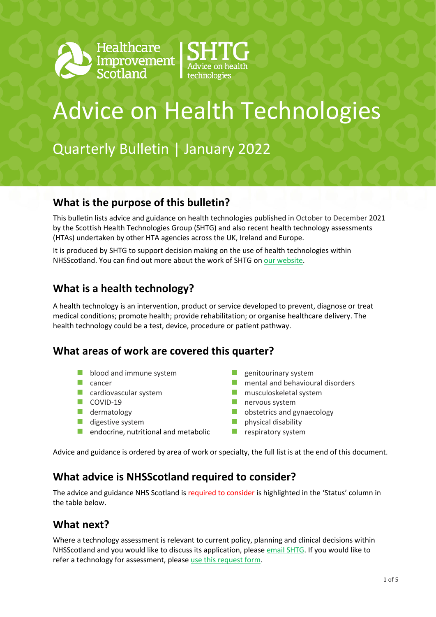



# Advice on Health Technologies

Quarterly Bulletin | January 2022

#### **What is the purpose of this bulletin?**

This bulletin lists advice and guidance on health technologies published in October to December 2021 by the Scottish Health Technologies Group (SHTG) and also recent health technology assessments (HTAs) undertaken by other HTA agencies across the UK, Ireland and Europe.

It is produced by SHTG to support decision making on the use of health technologies within NHSScotland. [You can find out more about the work of SHTG on our website.](https://shtg.scot/)

#### **What is a health technology?**

A health technology is an intervention, product or service developed to prevent, diagnose or treat medical conditions; promote health; provide rehabilitation; or organise healthcare delivery. The health technology could be a test, device, procedure or patient pathway.

#### **What areas of work are covered this quarter?**

- **blood and immune system**
- $\Box$  cancer
- **Cardiovascular system**
- $\Box$  COVID-19
- **dermatology**
- $\blacksquare$  digestive system
- $\blacksquare$  endocrine, nutritional and metabolic
- $\blacksquare$  genitourinary system
- **n** mental and behavioural disorders
- musculoskeletal system
- **nervous system**
- **D** obstetrics and gynaecology
- physical disability
- $\blacksquare$  respiratory system

Advice and guidance is ordered by area of work or specialty, the full list is at the end of this document.

#### **What advice is NHSScotland required to consider?**

The advice and guidance NHS Scotland is required to consider is highlighted in the 'Status' column in the table below.

### **What next?**

Where a technology assessment is relevant to current policy, planning and clinical decisions within NHSScotland and you would like to discuss its application, please [email SHTG.](mailto:his.shtg@nhs.scot) If you would like to refer a technology for assessment, please [use this request form.](https://shtg.scot/request-advice/)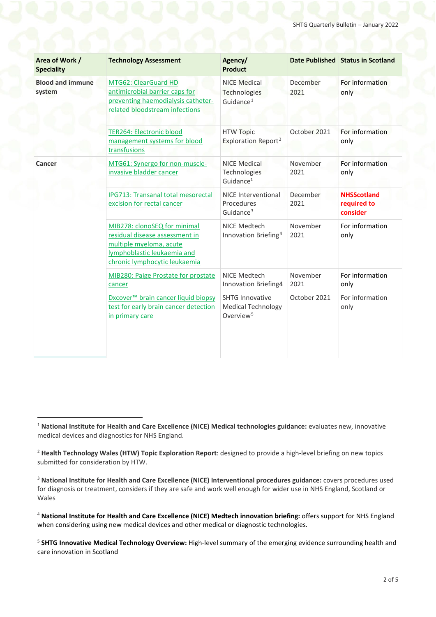<span id="page-1-0"></span>

| Area of Work /<br><b>Speciality</b> | <b>Technology Assessment</b>                                                                                                                              | Agency/<br><b>Product</b>                                                    |                  | Date Published Status in Scotland             |
|-------------------------------------|-----------------------------------------------------------------------------------------------------------------------------------------------------------|------------------------------------------------------------------------------|------------------|-----------------------------------------------|
| <b>Blood and immune</b><br>system   | MTG62: ClearGuard HD<br>antimicrobial barrier caps for<br>preventing haemodialysis catheter-<br>related bloodstream infections                            | <b>NICE Medical</b><br>Technologies<br>Guidance <sup>1</sup>                 | December<br>2021 | For information<br>only                       |
|                                     | <b>TER264: Electronic blood</b><br>management systems for blood<br>transfusions                                                                           | <b>HTW Topic</b><br>Exploration Report <sup>2</sup>                          | October 2021     | For information<br>only                       |
| Cancer                              | MTG61: Synergo for non-muscle-<br>invasive bladder cancer                                                                                                 | <b>NICE Medical</b><br>Technologies<br>Guidance <sup>1</sup>                 | November<br>2021 | For information<br>only                       |
|                                     | IPG713: Transanal total mesorectal<br>excision for rectal cancer                                                                                          | <b>NICE Interventional</b><br>Procedures<br>Guidance <sup>3</sup>            | December<br>2021 | <b>NHSScotland</b><br>required to<br>consider |
|                                     | MIB278: clonoSEQ for minimal<br>residual disease assessment in<br>multiple myeloma, acute<br>lymphoblastic leukaemia and<br>chronic lymphocytic leukaemia | NICE Medtech<br>Innovation Briefing <sup>4</sup>                             | November<br>2021 | For information<br>only                       |
|                                     | MIB280: Paige Prostate for prostate<br>cancer                                                                                                             | NICE Medtech<br>Innovation Briefing4                                         | November<br>2021 | For information<br>only                       |
|                                     | Dxcover <sup>™</sup> brain cancer liquid biopsy<br>test for early brain cancer detection<br>in primary care                                               | <b>SHTG Innovative</b><br><b>Medical Technology</b><br>Overview <sup>5</sup> | October 2021     | For information<br>only                       |

<span id="page-1-1"></span> <sup>1</sup> **National Institute for Health and Care Excellence (NICE) Medical technologies guidance:** evaluates new, innovative medical devices and diagnostics for NHS England.

<span id="page-1-2"></span><sup>2</sup> **Health Technology Wales (HTW) Topic Exploration Report**: designed to provide a high-level briefing on new topics submitted for consideration by HTW.

<span id="page-1-3"></span><sup>3</sup> **National Institute for Health and Care Excellence (NICE) Interventional procedures guidance:** covers procedures used for diagnosis or treatment, considers if they are safe and work well enough for wider use in NHS England, Scotland or Wales

<span id="page-1-4"></span><sup>4</sup> **National Institute for Health and Care Excellence (NICE) Medtech innovation briefing:** offers support for NHS England when considering using new medical devices and other medical or diagnostic technologies.

<span id="page-1-5"></span><sup>5</sup> **SHTG Innovative Medical Technology Overview:** High-level summary of the emerging evidence surrounding health and care innovation in Scotland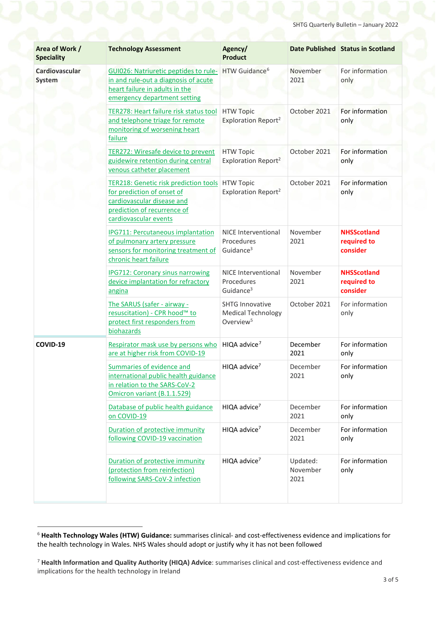| Area of Work /<br><b>Speciality</b> | <b>Technology Assessment</b>                                                                                                                                     | Agency/<br><b>Product</b>                                                    |                              | Date Published Status in Scotland             |
|-------------------------------------|------------------------------------------------------------------------------------------------------------------------------------------------------------------|------------------------------------------------------------------------------|------------------------------|-----------------------------------------------|
| Cardiovascular<br><b>System</b>     | GUI026: Natriuretic peptides to rule-<br>in and rule-out a diagnosis of acute<br>heart failure in adults in the<br>emergency department setting                  | HTW Guidance <sup>6</sup>                                                    | November<br>2021             | For information<br>only                       |
|                                     | TER278: Heart failure risk status tool<br>and telephone triage for remote<br>monitoring of worsening heart<br>failure                                            | <b>HTW Topic</b><br>Exploration Report <sup>2</sup>                          | October 2021                 | For information<br>only                       |
|                                     | TER272: Wiresafe device to prevent<br>guidewire retention during central<br>venous catheter placement                                                            | <b>HTW Topic</b><br>Exploration Report <sup>2</sup>                          | October 2021                 | For information<br>only                       |
|                                     | <b>TER218: Genetic risk prediction tools</b><br>for prediction of onset of<br>cardiovascular disease and<br>prediction of recurrence of<br>cardiovascular events | <b>HTW Topic</b><br>Exploration Report <sup>2</sup>                          | October 2021                 | For information<br>only                       |
|                                     | IPG711: Percutaneous implantation<br>of pulmonary artery pressure<br>sensors for monitoring treatment of<br>chronic heart failure                                | NICE Interventional<br>Procedures<br>Guidance <sup>3</sup>                   | November<br>2021             | <b>NHSScotland</b><br>required to<br>consider |
|                                     | <b>IPG712: Coronary sinus narrowing</b><br>device implantation for refractory<br>angina                                                                          | <b>NICE Interventional</b><br>Procedures<br>Guidance <sup>3</sup>            | November<br>2021             | <b>NHSScotland</b><br>required to<br>consider |
|                                     | The SARUS (safer - airway -<br>resuscitation) - CPR hood™ to<br>protect first responders from<br>biohazards                                                      | <b>SHTG Innovative</b><br><b>Medical Technology</b><br>Overview <sup>5</sup> | October 2021                 | For information<br>only                       |
| COVID-19                            | Respirator mask use by persons who<br>are at higher risk from COVID-19                                                                                           | HIQA advice <sup>7</sup>                                                     | December<br>2021             | For information<br>only                       |
|                                     | Summaries of evidence and<br>international public health guidance<br>in relation to the SARS-CoV-2<br>Omicron variant (B.1.1.529)                                | HIQA advice <sup>7</sup>                                                     | December<br>2021             | For information<br>only                       |
|                                     | Database of public health guidance<br>on COVID-19                                                                                                                | HIQA advice <sup>7</sup>                                                     | December<br>2021             | For information<br>only                       |
|                                     | Duration of protective immunity<br>following COVID-19 vaccination                                                                                                | HIQA advice <sup>7</sup>                                                     | December<br>2021             | For information<br>only                       |
|                                     | Duration of protective immunity<br>(protection from reinfection)<br>following SARS-CoV-2 infection                                                               | HIQA advice <sup>7</sup>                                                     | Updated:<br>November<br>2021 | For information<br>only                       |

<span id="page-2-0"></span> <sup>6</sup> **Health Technology Wales (HTW) Guidance:** summarises clinical- and cost-effectiveness evidence and implications for the health technology in Wales. NHS Wales should adopt or justify why it has not been followed

<span id="page-2-1"></span><sup>7</sup> **Health Information and Quality Authority (HIQA) Advice**: summarises clinical and cost-effectiveness evidence and implications for the health technology in Ireland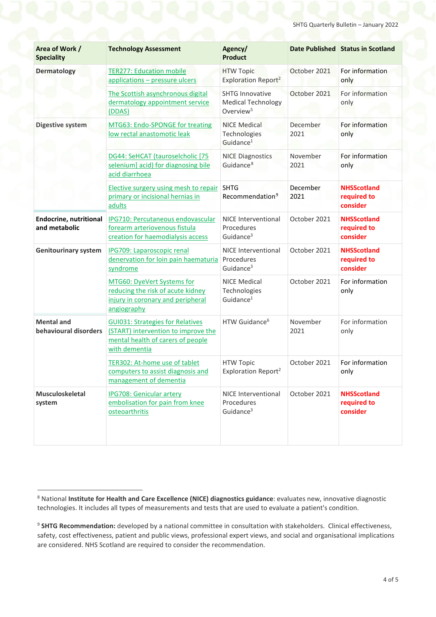| Area of Work /<br><b>Speciality</b>            | <b>Technology Assessment</b>                                                                                                         | Agency/<br><b>Product</b>                                                    |                  | Date Published Status in Scotland             |
|------------------------------------------------|--------------------------------------------------------------------------------------------------------------------------------------|------------------------------------------------------------------------------|------------------|-----------------------------------------------|
| <b>Dermatology</b>                             | <b>TER277: Education mobile</b><br>applications - pressure ulcers                                                                    | <b>HTW Topic</b><br>Exploration Report <sup>2</sup>                          | October 2021     | For information<br>only                       |
|                                                | The Scottish asynchronous digital<br>dermatology appointment service<br>(DDAS)                                                       | <b>SHTG Innovative</b><br><b>Medical Technology</b><br>Overview <sup>5</sup> | October 2021     | For information<br>only                       |
| <b>Digestive system</b>                        | MTG63: Endo-SPONGE for treating<br>low rectal anastomotic leak                                                                       | <b>NICE Medical</b><br>Technologies<br>Guidance <sup>1</sup>                 | December<br>2021 | For information<br>only                       |
|                                                | DG44: SeHCAT (tauroselcholic [75<br>selenium] acid) for diagnosing bile<br>acid diarrhoea                                            | <b>NICE Diagnostics</b><br>Guidance <sup>8</sup>                             | November<br>2021 | For information<br>only                       |
|                                                | <b>Elective surgery using mesh to repair</b><br>primary or incisional hernias in<br>adults                                           | <b>SHTG</b><br>Recommendation <sup>9</sup>                                   | December<br>2021 | <b>NHSScotland</b><br>required to<br>consider |
| <b>Endocrine, nutritional</b><br>and metabolic | IPG710: Percutaneous endovascular<br>forearm arteriovenous fistula<br>creation for haemodialysis access                              | <b>NICE Interventional</b><br>Procedures<br>Guidance <sup>3</sup>            | October 2021     | <b>NHSScotland</b><br>required to<br>consider |
| <b>Genitourinary system</b>                    | IPG709: Laparoscopic renal<br>denervation for loin pain haematuria<br>syndrome                                                       | <b>NICE Interventional</b><br>Procedures<br>Guidance <sup>3</sup>            | October 2021     | <b>NHSScotland</b><br>required to<br>consider |
|                                                | MTG60: DyeVert Systems for<br>reducing the risk of acute kidney<br>injury in coronary and peripheral<br>angiography                  | <b>NICE Medical</b><br>Technologies<br>Guidance <sup>1</sup>                 | October 2021     | For information<br>only                       |
| <b>Mental and</b><br>behavioural disorders     | <b>GUI031: Strategies for Relatives</b><br>(START) intervention to improve the<br>mental health of carers of people<br>with dementia | HTW Guidance <sup>6</sup>                                                    | November<br>2021 | For information<br>only                       |
|                                                | TER302: At-home use of tablet<br>computers to assist diagnosis and<br>management of dementia                                         | <b>HTW Topic</b><br>Exploration Report <sup>2</sup>                          | October 2021     | For information<br>only                       |
| <b>Musculoskeletal</b><br>system               | <b>IPG708: Genicular artery</b><br>embolisation for pain from knee<br>osteoarthritis                                                 | NICE Interventional<br>Procedures<br>Guidance <sup>3</sup>                   | October 2021     | <b>NHSScotland</b><br>required to<br>consider |

<span id="page-3-0"></span> <sup>8</sup> National **Institute for Health and Care Excellence (NICE) diagnostics guidance**: evaluates new, innovative diagnostic technologies. It includes all types of measurements and tests that are used to evaluate a patient's condition.

<span id="page-3-1"></span><sup>9</sup> **SHTG Recommendation:** developed by a national committee in consultation with stakeholders. Clinical effectiveness, safety, cost effectiveness, patient and public views, professional expert views, and social and organisational implications are considered. NHS Scotland are required to consider the recommendation.